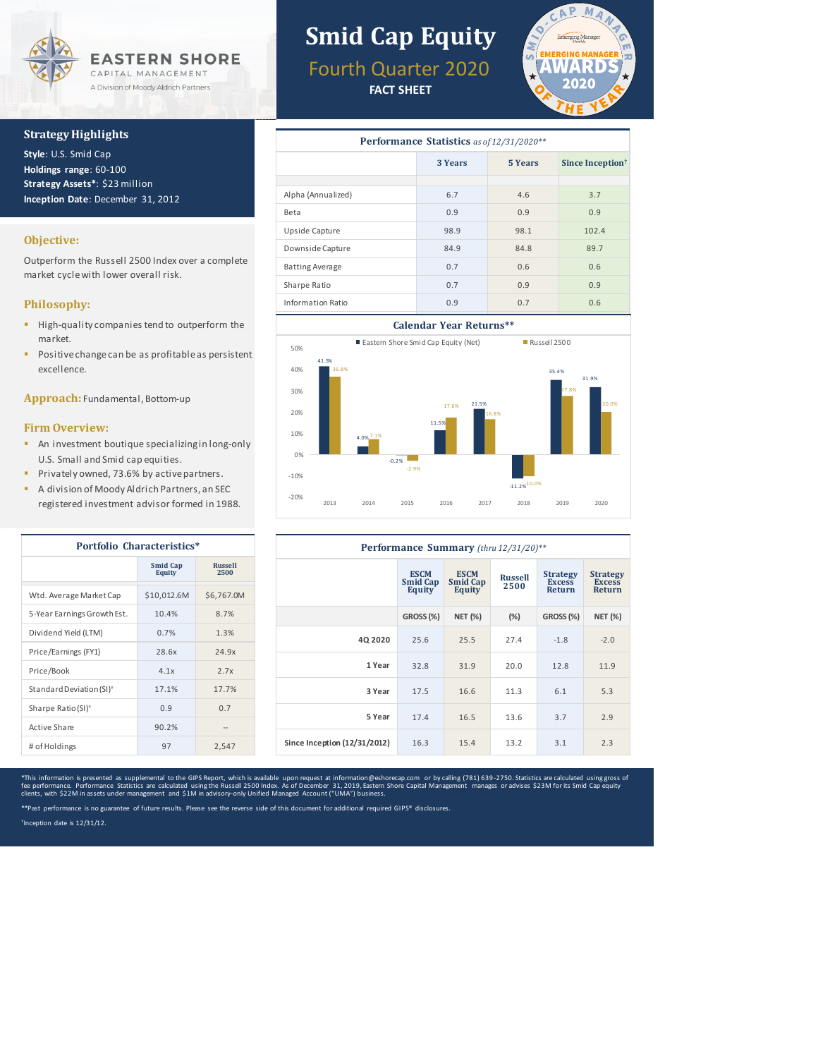

#### **Strategy Highlights**

**Style**: U.S. Smid Cap **Holdings range**: 60-100 **Strategy Assets\***: \$23 million **Inception Date**: December 31, 2012

### **Objective:**

Outperform the Russell 2500 Index over a complete market cycle with lower overall risk.

### **Philosophy:**

- High-quality companies tend to outperform the market.
- **Positive change can be as profitable as persistent** excellence.

**Approach:** Fundamental, Bottom-up

#### **Firm Overview:**

- **An investment boutique specializing in long-only** U.S. Small and Smid cap equities.
- **Privately owned, 73.6% by active partners.**
- A division of Moody Aldrich Partners, an SEC registered investment advisor formed in 1988.

| Portfolio Characteristics*           |                                  |                        |  |  |
|--------------------------------------|----------------------------------|------------------------|--|--|
|                                      | <b>Smid Cap</b><br><b>Equity</b> | <b>Russell</b><br>2500 |  |  |
| Wtd. Average Market Cap              | \$10,012.6M                      | \$6,767.0M             |  |  |
| 5-Year Earnings Growth Est.          | 10.4%                            | 8.7%                   |  |  |
| Dividend Yield (LTM)                 | 0.7%                             | 1.3%                   |  |  |
| Price/Earnings (FY1)                 | 28.6x                            | 24.9x                  |  |  |
| Price/Book                           | 4.1x                             | 2.7x                   |  |  |
| Standard Deviation (SI) <sup>+</sup> | 17.1%                            | 17.7%                  |  |  |
| Sharpe Ratio $(SI)^+$                | 0.9                              | 0.7                    |  |  |
| Active Share                         | 90.2%                            |                        |  |  |
| # of Holdings                        | 97                               | 2,547                  |  |  |

# **Smid Cap Equity**

Fourth Quarter 2020

**FACT SHEET**



| Performance Statistics as of 12/31/2020** |         |                |                              |  |  |
|-------------------------------------------|---------|----------------|------------------------------|--|--|
|                                           | 3 Years | <b>5 Years</b> | Since Inception <sup>†</sup> |  |  |
|                                           |         |                |                              |  |  |
| Alpha (Annualized)                        | 6.7     | 4.6            | 3.7                          |  |  |
| Beta                                      | 0.9     | 0.9            | 0.9                          |  |  |
| Upside Capture                            | 98.9    | 98.1           | 102.4                        |  |  |
| Downside Capture                          | 84.9    | 84.8           | 89.7                         |  |  |
| <b>Batting Average</b>                    | 0.7     | 0.6            | 0.6                          |  |  |
| Sharpe Ratio                              | 0.7     | 0.9            | 0.9                          |  |  |
| Information Ratio                         | 0.9     | 0.7            | 0.6                          |  |  |





| Performance Summary (thru 12/31/20)** |                                          |                                          |                        |                                                   |                                            |
|---------------------------------------|------------------------------------------|------------------------------------------|------------------------|---------------------------------------------------|--------------------------------------------|
|                                       | <b>ESCM</b><br><b>Smid Cap</b><br>Equity | <b>ESCM</b><br><b>Smid Cap</b><br>Equity | <b>Russell</b><br>2500 | <b>Strategy</b><br><b>Excess</b><br><b>Return</b> | <b>Strategy</b><br><b>Excess</b><br>Return |
|                                       | GROSS (%)                                | <b>NET (%)</b>                           | (%)                    | GROSS (%)                                         | <b>NET (%)</b>                             |
| 4Q 2020                               | 25.6                                     | 25.5                                     | 27.4                   | $-1.8$                                            | $-2.0$                                     |
| 1 Year                                | 32.8                                     | 31.9                                     | 20.0                   | 12.8                                              | 11.9                                       |
| 3 Year                                | 17.5                                     | 16.6                                     | 11.3                   | 6.1                                               | 5.3                                        |
| 5 Year                                | 17.4                                     | 16.5                                     | 13.6                   | 3.7                                               | 2.9                                        |
| Since Inception (12/31/2012)          | 16.3                                     | 15.4                                     | 13.2                   | 3.1                                               | 2.3                                        |

\*This information is presented as supplemental to the GIPS Report, which is available upon request at information@eshorecap.com or by calling (781) 639-2750. Statistics are calculated using gross of<br>fee performance. Perfor

\*\*Past performance is no guarantee of future results. Please see the reverse side of this document for additional required GIPS® disclosures.

† Inception date is 12/31/12.